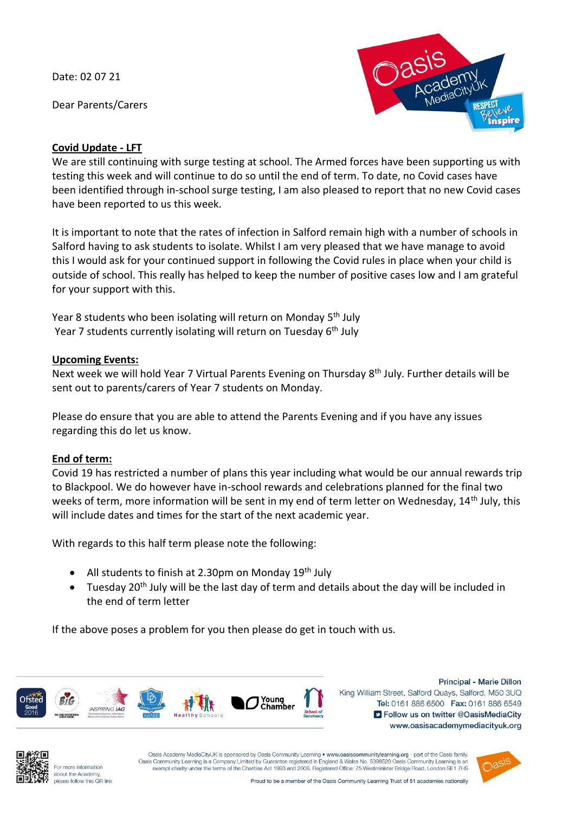Date: 02 07 21

Dear Parents/Carers



# **Covid Update - LFT**

We are still continuing with surge testing at school. The Armed forces have been supporting us with testing this week and will continue to do so until the end of term. To date, no Covid cases have been identified through in-school surge testing, I am also pleased to report that no new Covid cases have been reported to us this week.

It is important to note that the rates of infection in Salford remain high with a number of schools in Salford having to ask students to isolate. Whilst I am very pleased that we have manage to avoid this I would ask for your continued support in following the Covid rules in place when your child is outside of school. This really has helped to keep the number of positive cases low and I am grateful for your support with this.

Year 8 students who been isolating will return on Monday 5<sup>th</sup> July Year 7 students currently isolating will return on Tuesday 6<sup>th</sup> July

## **Upcoming Events:**

Next week we will hold Year 7 Virtual Parents Evening on Thursday 8<sup>th</sup> July. Further details will be sent out to parents/carers of Year 7 students on Monday.

Please do ensure that you are able to attend the Parents Evening and if you have any issues regarding this do let us know.

## **End of term:**

Covid 19 has restricted a number of plans this year including what would be our annual rewards trip to Blackpool. We do however have in-school rewards and celebrations planned for the final two weeks of term, more information will be sent in my end of term letter on Wednesday, 14<sup>th</sup> July, this will include dates and times for the start of the next academic year.

With regards to this half term please note the following:

- All students to finish at 2.30pm on Monday  $19<sup>th</sup>$  July
- Tuesday 20<sup>th</sup> July will be the last day of term and details about the day will be included in the end of term letter

If the above poses a problem for you then please do get in touch with us.



Principal - Marie Dillon King William Street, Salford Quays, Salford, M50 3UQ Tel: 0161 886 6500 Fax: 0161 886 6549 S Follow us on twitter @OasisMediaCity www.oasisacademymediacityuk.org



For more information about the Academy please follow this QR link

Oasis Academy MediaCityUK is sponsored by Oasis Community Learning . www.oasiscommunitylearning.org - part of the Oasis family Oasis Community Learning is a Company Limited by Guarantee registered in England & Wales No. 5398529 Oasis Community Learning is an exempt charity under the terms of the Charities Act 1993 and 2006. Registered Office: 75 W